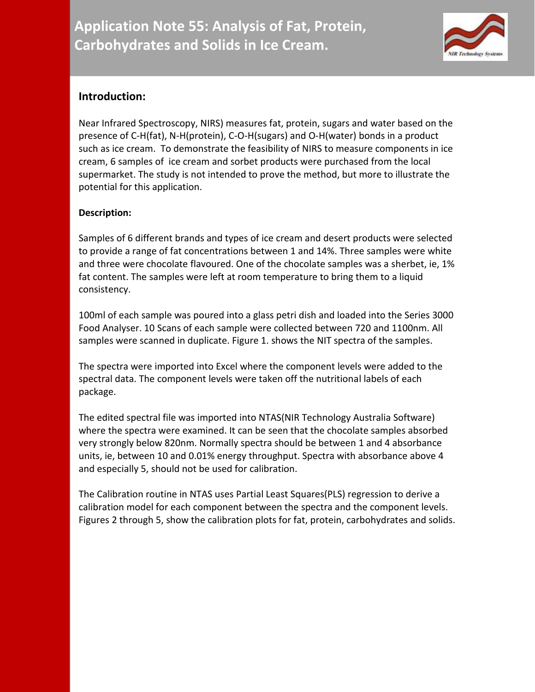

## **Introduction:**

Near Infrared Spectroscopy, NIRS) measures fat, protein, sugars and water based on the presence of C-H(fat), N-H(protein), C-O-H(sugars) and O-H(water) bonds in a product such as ice cream. To demonstrate the feasibility of NIRS to measure components in ice cream, 6 samples of ice cream and sorbet products were purchased from the local supermarket. The study is not intended to prove the method, but more to illustrate the potential for this application.

## **Description:**

Samples of 6 different brands and types of ice cream and desert products were selected to provide a range of fat concentrations between 1 and 14%. Three samples were white and three were chocolate flavoured. One of the chocolate samples was a sherbet, ie, 1% fat content. The samples were left at room temperature to bring them to a liquid consistency.

100ml of each sample was poured into a glass petri dish and loaded into the Series 3000 Food Analyser. 10 Scans of each sample were collected between 720 and 1100nm. All samples were scanned in duplicate. Figure 1. shows the NIT spectra of the samples.

The spectra were imported into Excel where the component levels were added to the spectral data. The component levels were taken off the nutritional labels of each package.

The edited spectral file was imported into NTAS(NIR Technology Australia Software) where the spectra were examined. It can be seen that the chocolate samples absorbed very strongly below 820nm. Normally spectra should be between 1 and 4 absorbance units, ie, between 10 and 0.01% energy throughput. Spectra with absorbance above 4 and especially 5, should not be used for calibration.

The Calibration routine in NTAS uses Partial Least Squares(PLS) regression to derive a calibration model for each component between the spectra and the component levels. Figures 2 through 5, show the calibration plots for fat, protein, carbohydrates and solids.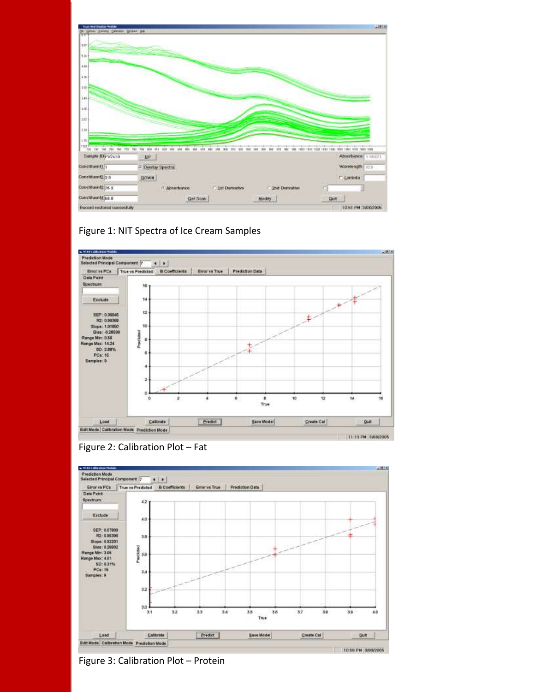